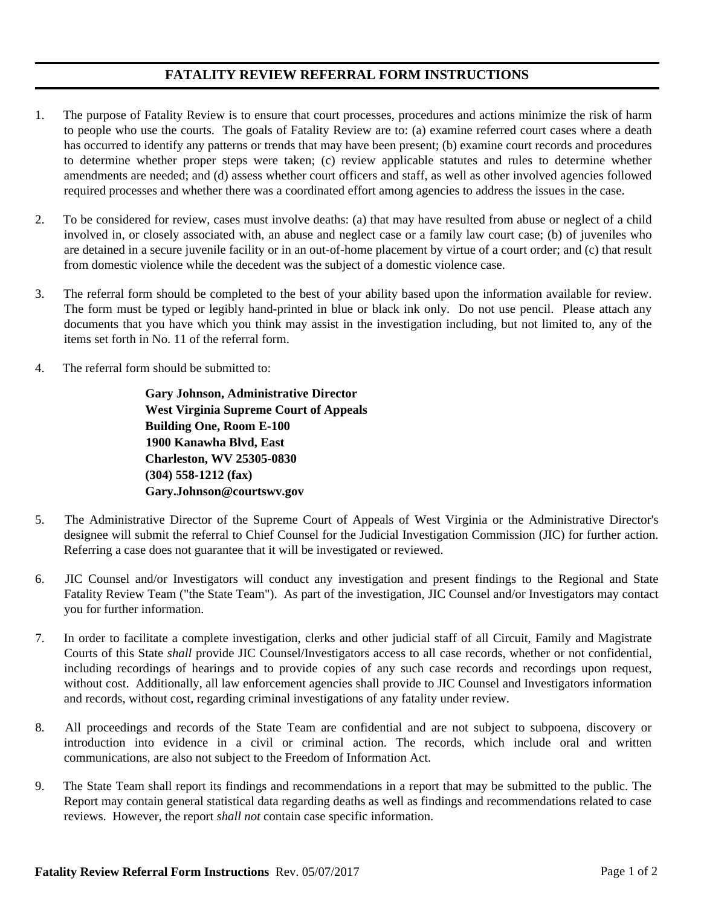## **FATALITY REVIEW REFERRAL FORM INSTRUCTIONS**

- 1. The purpose of Fatality Review is to ensure that court processes, procedures and actions minimize the risk of harm to people who use the courts. The goals of Fatality Review are to: (a) examine referred court cases where a death has occurred to identify any patterns or trends that may have been present; (b) examine court records and procedures to determine whether proper steps were taken; (c) review applicable statutes and rules to determine whether amendments are needed; and (d) assess whether court officers and staff, as well as other involved agencies followed required processes and whether there was a coordinated effort among agencies to address the issues in the case.
- 2. To be considered for review, cases must involve deaths: (a) that may have resulted from abuse or neglect of a child involved in, or closely associated with, an abuse and neglect case or a family law court case; (b) of juveniles who are detained in a secure juvenile facility or in an out-of-home placement by virtue of a court order; and (c) that result from domestic violence while the decedent was the subject of a domestic violence case.
- 3. The referral form should be completed to the best of your ability based upon the information available for review. The form must be typed or legibly hand-printed in blue or black ink only. Do not use pencil. Please attach any documents that you have which you think may assist in the investigation including, but not limited to, any of the items set forth in No. 11 of the referral form.
- 4. The referral form should be submitted to:

 **Gary Johnson, Administrative Director West Virginia Supreme Court of Appeals Building One, Room E-100 1900 Kanawha Blvd, East Charleston, WV 25305-0830 (304) 558-1212 (fax) Gary.Johnson@courtswv.gov** 

- 5. The Administrative Director of the Supreme Court of Appeals of West Virginia or the Administrative Director's designee will submit the referral to Chief Counsel for the Judicial Investigation Commission (JIC) for further action. Referring a case does not guarantee that it will be investigated or reviewed.
- 6. JIC Counsel and/or Investigators will conduct any investigation and present findings to the Regional and State Fatality Review Team ("the State Team"). As part of the investigation, JIC Counsel and/or Investigators may contact you for further information.
- 7. In order to facilitate a complete investigation, clerks and other judicial staff of all Circuit, Family and Magistrate Courts of this State *shall* provide JIC Counsel/Investigators access to all case records, whether or not confidential, including recordings of hearings and to provide copies of any such case records and recordings upon request, without cost. Additionally, all law enforcement agencies shall provide to JIC Counsel and Investigators information and records, without cost, regarding criminal investigations of any fatality under review.
- 8. All proceedings and records of the State Team are confidential and are not subject to subpoena, discovery or introduction into evidence in a civil or criminal action. The records, which include oral and written communications, are also not subject to the Freedom of Information Act.
- 9. The State Team shall report its findings and recommendations in a report that may be submitted to the public. The Report may contain general statistical data regarding deaths as well as findings and recommendations related to case reviews. However, the report *shall not* contain case specific information.